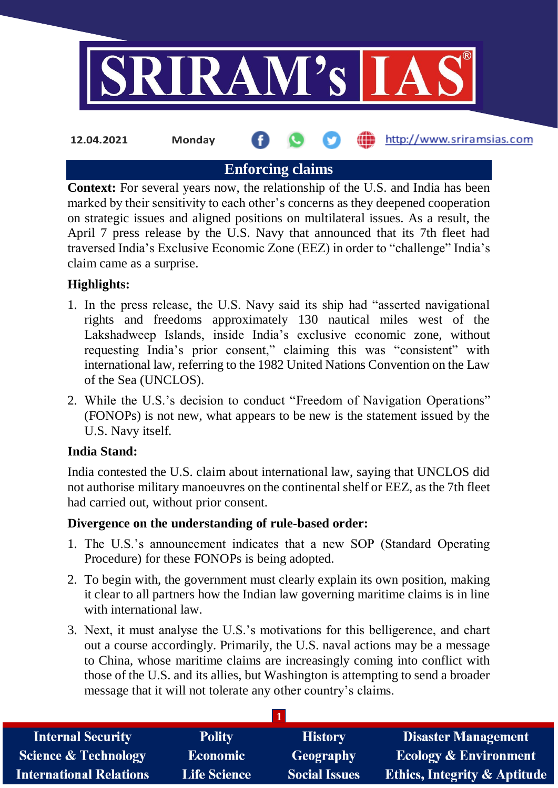

**Enforcing claims**

**Context:** For several years now, the relationship of the U.S. and India has been marked by their sensitivity to each other's concerns as they deepened cooperation on strategic issues and aligned positions on multilateral issues. As a result, the April 7 press release by the U.S. Navy that announced that its 7th fleet had traversed India's Exclusive Economic Zone (EEZ) in order to "challenge" India's claim came as a surprise.

## **Highlights:**

- 1. In the press release, the U.S. Navy said its ship had "asserted navigational rights and freedoms approximately 130 nautical miles west of the Lakshadweep Islands, inside India's exclusive economic zone, without requesting India's prior consent," claiming this was "consistent" with international law, referring to the 1982 United Nations Convention on the Law of the Sea (UNCLOS).
- 2. While the U.S.'s decision to conduct "Freedom of Navigation Operations" (FONOPs) is not new, what appears to be new is the statement issued by the U.S. Navy itself.

### **India Stand:**

India contested the U.S. claim about international law, saying that UNCLOS did not authorise military manoeuvres on the continental shelf or EEZ, as the 7th fleet had carried out, without prior consent.

### **Divergence on the understanding of rule-based order:**

- 1. The U.S.'s announcement indicates that a new SOP (Standard Operating Procedure) for these FONOPs is being adopted.
- 2. To begin with, the government must clearly explain its own position, making it clear to all partners how the Indian law governing maritime claims is in line with international law.
- 3. Next, it must analyse the U.S.'s motivations for this belligerence, and chart out a course accordingly. Primarily, the U.S. naval actions may be a message to China, whose maritime claims are increasingly coming into conflict with those of the U.S. and its allies, but Washington is attempting to send a broader message that it will not tolerate any other country's claims.

| <b>Internal Security</b>        | <b>Polity</b>       | <b>History</b>       | <b>Disaster Management</b>              |
|---------------------------------|---------------------|----------------------|-----------------------------------------|
| <b>Science &amp; Technology</b> | <b>Economic</b>     | Geography            | <b>Ecology &amp; Environment</b>        |
| <b>International Relations</b>  | <b>Life Science</b> | <b>Social Issues</b> | <b>Ethics, Integrity &amp; Aptitude</b> |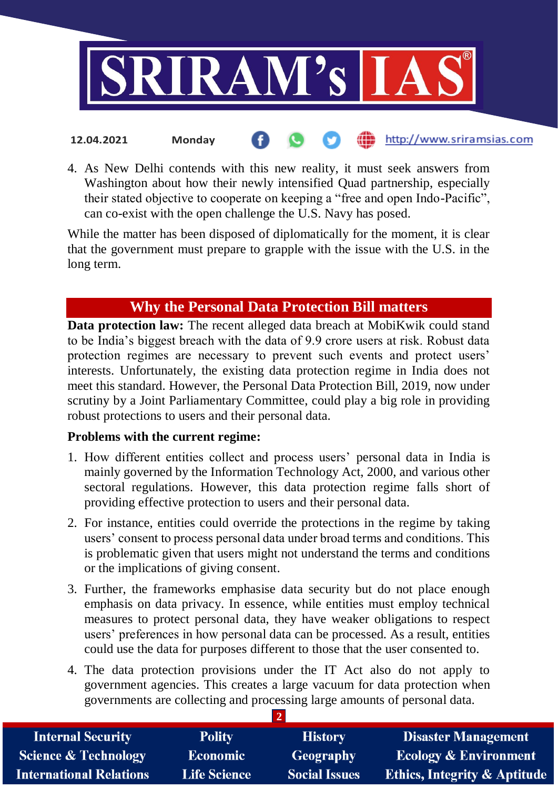

4. As New Delhi contends with this new reality, it must seek answers from Washington about how their newly intensified Quad partnership, especially their stated objective to cooperate on keeping a "free and open Indo-Pacific", can co-exist with the open challenge the U.S. Navy has posed.

While the matter has been disposed of diplomatically for the moment, it is clear that the government must prepare to grapple with the issue with the U.S. in the long term.

# **Why the Personal Data Protection Bill matters**

**Data protection law:** The recent alleged data breach at MobiKwik could stand to be India's biggest breach with the data of 9.9 crore users at risk. Robust data protection regimes are necessary to prevent such events and protect users' interests. Unfortunately, the existing data protection regime in India does not meet this standard. However, the Personal Data Protection Bill, 2019, now under scrutiny by a Joint Parliamentary Committee, could play a big role in providing robust protections to users and their personal data.

### **Problems with the current regime:**

- 1. How different entities collect and process users' personal data in India is mainly governed by the Information Technology Act, 2000, and various other sectoral regulations. However, this data protection regime falls short of providing effective protection to users and their personal data.
- 2. For instance, entities could override the protections in the regime by taking users' consent to process personal data under broad terms and conditions. This is problematic given that users might not understand the terms and conditions or the implications of giving consent.
- 3. Further, the frameworks emphasise data security but do not place enough emphasis on data privacy. In essence, while entities must employ technical measures to protect personal data, they have weaker obligations to respect users' preferences in how personal data can be processed. As a result, entities could use the data for purposes different to those that the user consented to.
- 4. The data protection provisions under the IT Act also do not apply to government agencies. This creates a large vacuum for data protection when governments are collecting and processing large amounts of personal data.

| <b>Internal Security</b>        | <b>Polity</b>       | <b>History</b>       | <b>Disaster Management</b>              |
|---------------------------------|---------------------|----------------------|-----------------------------------------|
| <b>Science &amp; Technology</b> | <b>Economic</b>     | <b>Geography</b>     | <b>Ecology &amp; Environment</b>        |
| <b>International Relations</b>  | <b>Life Science</b> | <b>Social Issues</b> | <b>Ethics, Integrity &amp; Aptitude</b> |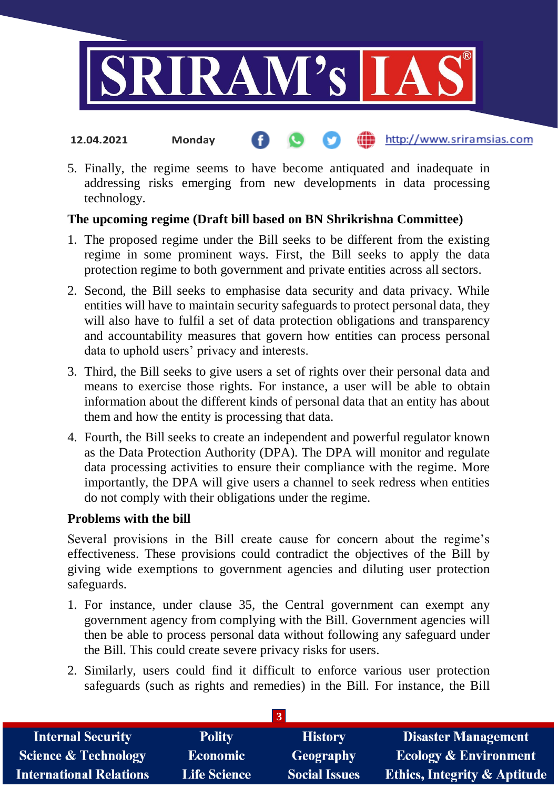

#### http://www.sriramsias.com **12.04.2021 Monday**

5. Finally, the regime seems to have become antiquated and inadequate in addressing risks emerging from new developments in data processing technology.

### **The upcoming regime (Draft bill based on BN Shrikrishna Committee)**

- 1. The proposed regime under the Bill seeks to be different from the existing regime in some prominent ways. First, the Bill seeks to apply the data protection regime to both government and private entities across all sectors.
- 2. Second, the Bill seeks to emphasise data security and data privacy. While entities will have to maintain security safeguards to protect personal data, they will also have to fulfil a set of data protection obligations and transparency and accountability measures that govern how entities can process personal data to uphold users' privacy and interests.
- 3. Third, the Bill seeks to give users a set of rights over their personal data and means to exercise those rights. For instance, a user will be able to obtain information about the different kinds of personal data that an entity has about them and how the entity is processing that data.
- 4. Fourth, the Bill seeks to create an independent and powerful regulator known as the Data Protection Authority (DPA). The DPA will monitor and regulate data processing activities to ensure their compliance with the regime. More importantly, the DPA will give users a channel to seek redress when entities do not comply with their obligations under the regime.

#### **Problems with the bill**

Several provisions in the Bill create cause for concern about the regime's effectiveness. These provisions could contradict the objectives of the Bill by giving wide exemptions to government agencies and diluting user protection safeguards.

- 1. For instance, under clause 35, the Central government can exempt any government agency from complying with the Bill. Government agencies will then be able to process personal data without following any safeguard under the Bill. This could create severe privacy risks for users.
- 2. Similarly, users could find it difficult to enforce various user protection safeguards (such as rights and remedies) in the Bill. For instance, the Bill

| <b>Internal Security</b>        | <b>Polity</b>       | <b>History</b>       | <b>Disaster Management</b>              |
|---------------------------------|---------------------|----------------------|-----------------------------------------|
| <b>Science &amp; Technology</b> | <b>Economic</b>     | <b>Geography</b>     | <b>Ecology &amp; Environment</b>        |
| International Relations         | <b>Life Science</b> | <b>Social Issues</b> | <b>Ethics, Integrity &amp; Aptitude</b> |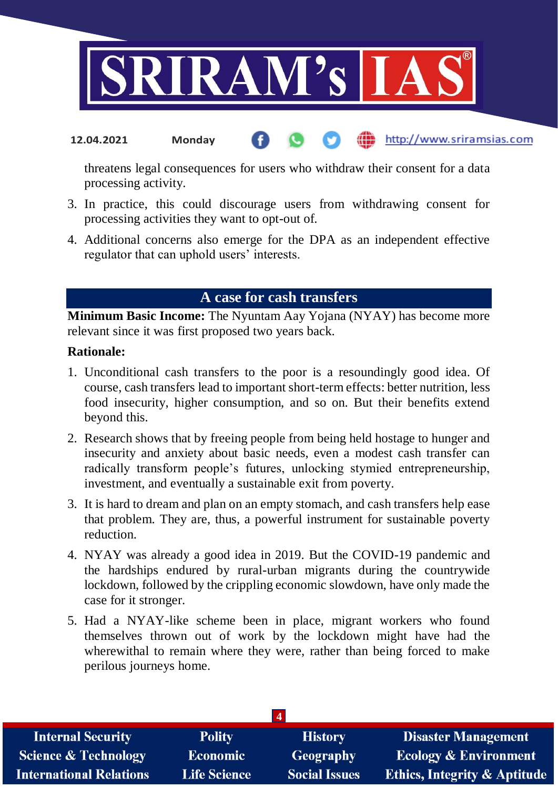

#### http://www.sriramsias.com **12.04.2021 Monday**

threatens legal consequences for users who withdraw their consent for a data processing activity.

- 3. In practice, this could discourage users from withdrawing consent for processing activities they want to opt-out of.
- 4. Additional concerns also emerge for the DPA as an independent effective regulator that can uphold users' interests.

# **A case for cash transfers**

**Minimum Basic Income:** The Nyuntam Aay Yojana (NYAY) has become more relevant since it was first proposed two years back.

#### **Rationale:**

- 1. Unconditional cash transfers to the poor is a resoundingly good idea. Of course, cash transfers lead to important short-term effects: better nutrition, less food insecurity, higher consumption, and so on. But their benefits extend beyond this.
- 2. Research shows that by freeing people from being held hostage to hunger and insecurity and anxiety about basic needs, even a modest cash transfer can radically transform people's futures, unlocking stymied entrepreneurship, investment, and eventually a sustainable exit from poverty.
- 3. It is hard to dream and plan on an empty stomach, and cash transfers help ease that problem. They are, thus, a powerful instrument for sustainable poverty reduction.
- 4. NYAY was already a good idea in 2019. But the COVID-19 pandemic and the hardships endured by rural-urban migrants during the countrywide lockdown, followed by the crippling economic slowdown, have only made the case for it stronger.
- 5. Had a NYAY-like scheme been in place, migrant workers who found themselves thrown out of work by the lockdown might have had the wherewithal to remain where they were, rather than being forced to make perilous journeys home.

| <b>Internal Security</b>        | <b>Polity</b>       | <b>History</b>       | <b>Disaster Management</b>              |
|---------------------------------|---------------------|----------------------|-----------------------------------------|
| <b>Science &amp; Technology</b> | <b>Economic</b>     | Geography            | <b>Ecology &amp; Environment</b>        |
| <b>International Relations</b>  | <b>Life Science</b> | <b>Social Issues</b> | <b>Ethics, Integrity &amp; Aptitude</b> |